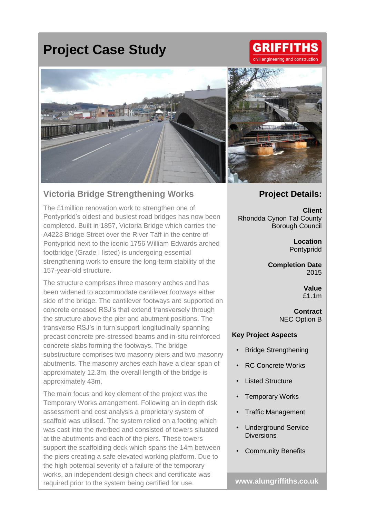## **Project Case Study**



## **Victoria Bridge Strengthening Works**

The £1million renovation work to strengthen one of Pontypridd's oldest and busiest road bridges has now been completed. Built in 1857, Victoria Bridge which carries the A4223 Bridge Street over the River Taff in the centre of Pontypridd next to the iconic 1756 William Edwards arched footbridge (Grade I listed) is undergoing essential strengthening work to ensure the long-term stability of the 157-year-old structure.

The structure comprises three masonry arches and has been widened to accommodate cantilever footways either side of the bridge. The cantilever footways are supported on concrete encased RSJ's that extend transversely through the structure above the pier and abutment positions. The transverse RSJ's in turn support longitudinally spanning precast concrete pre-stressed beams and in-situ reinforced concrete slabs forming the footways. The bridge substructure comprises two masonry piers and two masonry abutments. The masonry arches each have a clear span of approximately 12.3m, the overall length of the bridge is approximately 43m.

The main focus and key element of the project was the Temporary Works arrangement. Following an in depth risk assessment and cost analysis a proprietary system of scaffold was utilised. The system relied on a footing which was cast into the riverbed and consisted of towers situated at the abutments and each of the piers. These towers support the scaffolding deck which spans the 14m between the piers creating a safe elevated working platform. Due to the high potential severity of a failure of the temporary works, an independent design check and certificate was required prior to the system being certified for use.



**GRIFFITHS** 

ngineering and construction

## **Project Details:**

**Client** Rhondda Cynon Taf County Borough Council

> **Location** Pontypridd

**Completion Date** 2015

> **Value** £1.1m

**Contract** NEC Option B

## **Key Project Aspects**

- **Bridge Strengthening**
- RC Concrete Works
- **Listed Structure**
- **Temporary Works**
- Traffic Management
- Underground Service **Diversions**
- Community Benefits